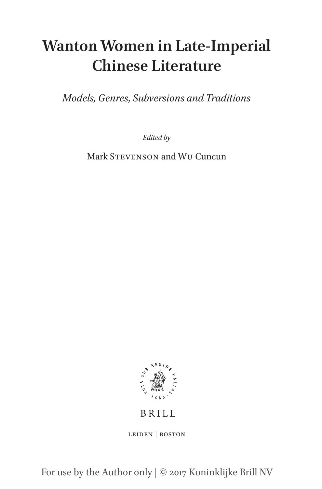# **Wanton Women in Late-Imperial Chinese Literature**

*Models, Genres, Subversions and Traditions*

*Edited by*

Mark STEVENSON and WU Cuncun



BRILL

LEIDEN | BOSTON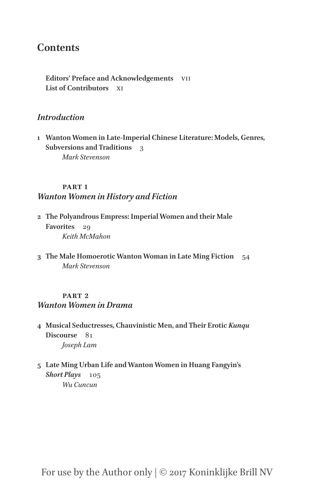## **Contents**

**Editors' Preface and Acknowledgements** VII **List of Contributors** xi

### *Introduction*

**1 Wanton Women in Late-Imperial Chinese Literature: Models, Genres, Subversions and Traditions** 3 *Mark Stevenson*

### **Part 1** *Wanton Women in History and Fiction*

- **2 The Polyandrous Empress: Imperial Women and their Male Favorites** 29 *Keith McMahon*
- **3 The Male Homoerotic Wanton Woman in Late Ming Fiction** 54 *Mark Stevenson*

#### **Part 2** *Wanton Women in Drama*

- **4 Musical Seductresses, Chauvinistic Men, and Their Erotic** *Kunqu* **Discourse** 81 *Joseph Lam*
- **5 Late Ming Urban Life and Wanton Women in Huang Fangyin's Short Plays** 105 *Wu Cuncun*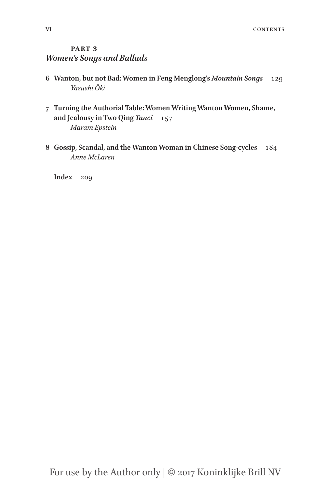#### **Part 3** *Women's Songs and Ballads*

- **6 Wanton, but not Bad: Women in Feng Menglong's** *Mountain Songs* 129 *Yasushi Ôki*
- **7 Turning the Authorial Table: Women Writing Wanton Women, Shame, and Jealousy in Two Qing** *Tanci* 157 *Maram Epstein*
- **8 Gossip, Scandal, and the Wanton Woman in Chinese Song-cycles** 184 *Anne McLaren*

 **Index** 209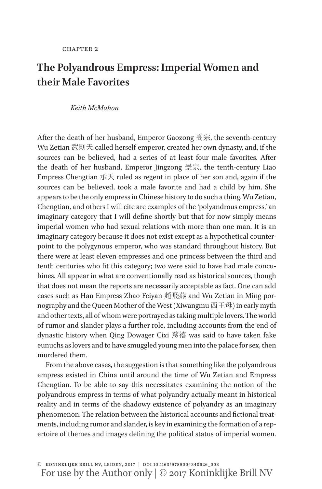# **The Polyandrous Empress: Imperial Women and their Male Favorites**

#### *Keith McMahon*

After the death of her husband, Emperor Gaozong 高宗, the seventh-century Wu Zetian 武則天 called herself emperor, created her own dynasty, and, if the sources can be believed, had a series of at least four male favorites. After the death of her husband, Emperor Jingzong 景宗, the tenth-century Liao Empress Chengtian 承天 ruled as regent in place of her son and, again if the sources can be believed, took a male favorite and had a child by him. She appears to be the only empress in Chinese history to do such a thing. Wu Zetian, Chengtian, and others I will cite are examples of the 'polyandrous empress,' an imaginary category that I will define shortly but that for now simply means imperial women who had sexual relations with more than one man. It is an imaginary category because it does not exist except as a hypothetical counterpoint to the polygynous emperor, who was standard throughout history. But there were at least eleven empresses and one princess between the third and tenth centuries who fit this category; two were said to have had male concubines. All appear in what are conventionally read as historical sources, though that does not mean the reports are necessarily acceptable as fact. One can add cases such as Han Empress Zhao Feiyan 趙飛燕 and Wu Zetian in Ming pornography and the Queen Mother of the West (Xiwangmu 西王母) in early myth and other texts, all of whom were portrayed as taking multiple lovers. The world of rumor and slander plays a further role, including accounts from the end of dynastic history when Qing Dowager Cixi 慈禧 was said to have taken fake eunuchs as lovers and to have smuggled young men into the palace for sex, then murdered them.

From the above cases, the suggestion is that something like the polyandrous empress existed in China until around the time of Wu Zetian and Empress Chengtian. To be able to say this necessitates examining the notion of the polyandrous empress in terms of what polyandry actually meant in historical reality and in terms of the shadowy existence of polyandry as an imaginary phenomenon. The relation between the historical accounts and fictional treatments, including rumor and slander, is key in examining the formation of a repertoire of themes and images defining the political status of imperial women.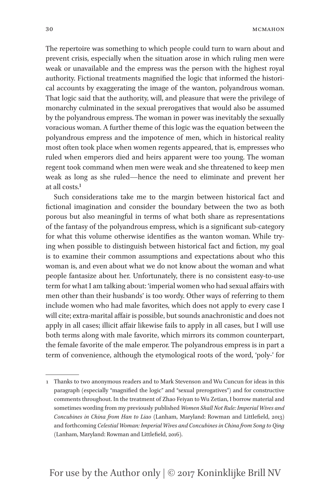30 MCMAHON

The repertoire was something to which people could turn to warn about and prevent crisis, especially when the situation arose in which ruling men were weak or unavailable and the empress was the person with the highest royal authority. Fictional treatments magnified the logic that informed the historical accounts by exaggerating the image of the wanton, polyandrous woman. That logic said that the authority, will, and pleasure that were the privilege of monarchy culminated in the sexual prerogatives that would also be assumed by the polyandrous empress. The woman in power was inevitably the sexually voracious woman. A further theme of this logic was the equation between the polyandrous empress and the impotence of men, which in historical reality most often took place when women regents appeared, that is, empresses who ruled when emperors died and heirs apparent were too young. The woman regent took command when men were weak and she threatened to keep men weak as long as she ruled—hence the need to eliminate and prevent her at all costs  $<sup>1</sup>$ </sup>

Such considerations take me to the margin between historical fact and fictional imagination and consider the boundary between the two as both porous but also meaningful in terms of what both share as representations of the fantasy of the polyandrous empress, which is a significant sub-category for what this volume otherwise identifies as the wanton woman. While trying when possible to distinguish between historical fact and fiction, my goal is to examine their common assumptions and expectations about who this woman is, and even about what we do not know about the woman and what people fantasize about her. Unfortunately, there is no consistent easy-to-use term for what I am talking about: 'imperial women who had sexual affairs with men other than their husbands' is too wordy. Other ways of referring to them include women who had male favorites, which does not apply to every case I will cite; extra-marital afffair is possible, but sounds anachronistic and does not apply in all cases; illicit afffair likewise fails to apply in all cases, but I will use both terms along with male favorite, which mirrors its common counterpart, the female favorite of the male emperor. The polyandrous empress is in part a term of convenience, although the etymological roots of the word, 'poly-' for

<sup>1</sup> Thanks to two anonymous readers and to Mark Stevenson and Wu Cuncun for ideas in this paragraph (especially "magnified the logic" and "sexual prerogatives") and for constructive comments throughout. In the treatment of Zhao Feiyan to Wu Zetian, I borrow material and sometimes wording from my previously published *Women Shall Not Rule: Imperial Wives and Concubines in China from Han to Liao* (Lanham, Maryland: Rowman and Littlefield, 2013) and forthcoming *Celestial Woman: Imperial Wives and Concubines in China from Song to Qing* (Lanham, Maryland: Rowman and Littlefield, 2016).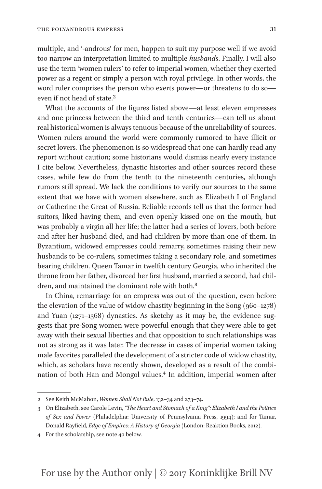multiple, and '-androus' for men, happen to suit my purpose well if we avoid too narrow an interpretation limited to multiple *husbands*. Finally, I will also use the term 'women rulers' to refer to imperial women, whether they exerted power as a regent or simply a person with royal privilege. In other words, the word ruler comprises the person who exerts power—or threatens to do so even if not head of state.<sup>2</sup>

What the accounts of the figures listed above—at least eleven empresses and one princess between the third and tenth centuries—can tell us about real historical women is always tenuous because of the unreliability of sources. Women rulers around the world were commonly rumored to have illicit or secret lovers. The phenomenon is so widespread that one can hardly read any report without caution; some historians would dismiss nearly every instance I cite below. Nevertheless, dynastic histories and other sources record these cases, while few do from the tenth to the nineteenth centuries, although rumors still spread. We lack the conditions to verify our sources to the same extent that we have with women elsewhere, such as Elizabeth I of England or Catherine the Great of Russia. Reliable records tell us that the former had suitors, liked having them, and even openly kissed one on the mouth, but was probably a virgin all her life; the latter had a series of lovers, both before and after her husband died, and had children by more than one of them. In Byzantium, widowed empresses could remarry, sometimes raising their new husbands to be co-rulers, sometimes taking a secondary role, and sometimes bearing children. Queen Tamar in twelfth century Georgia, who inherited the throne from her father, divorced her first husband, married a second, had children, and maintained the dominant role with both.<sup>3</sup>

In China, remarriage for an empress was out of the question, even before the elevation of the value of widow chastity beginning in the Song (960–1278) and Yuan (1271–1368) dynasties. As sketchy as it may be, the evidence suggests that pre-Song women were powerful enough that they were able to get away with their sexual liberties and that opposition to such relationships was not as strong as it was later. The decrease in cases of imperial women taking male favorites paralleled the development of a stricter code of widow chastity, which, as scholars have recently shown, developed as a result of the combination of both Han and Mongol values.4 In addition, imperial women after

<sup>2</sup> See Keith McMahon, *Women Shall Not Rule*, 132–34 and 273–74.

<sup>3</sup> On Elizabeth, see Carole Levin, *"The Heart and Stomach of a King": Elizabeth I and the Politics of Sex and Power* (Philadelphia: University of Pennsylvania Press, 1994); and for Tamar, Donald Rayfield, *Edge of Empires: A History of Georgia* (London: Reaktion Books, 2012).

<sup>4</sup> For the scholarship, see note 40 below.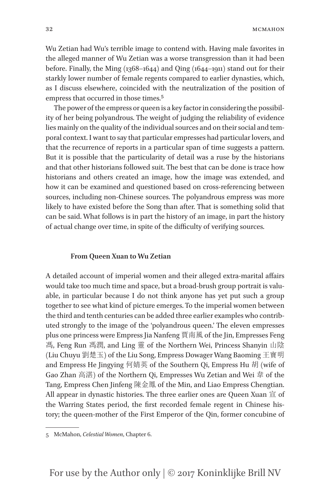32 MCMAHON

Wu Zetian had Wu's terrible image to contend with. Having male favorites in the alleged manner of Wu Zetian was a worse transgression than it had been before. Finally, the Ming (1368–1644) and Qing (1644–1911) stand out for their starkly lower number of female regents compared to earlier dynasties, which, as I discuss elsewhere, coincided with the neutralization of the position of empress that occurred in those times.<sup>5</sup>

The power of the empress or queen is a key factor in considering the possibility of her being polyandrous. The weight of judging the reliability of evidence lies mainly on the quality of the individual sources and on their social and temporal context. I want to say that particular empresses had particular lovers, and that the recurrence of reports in a particular span of time suggests a pattern. But it is possible that the particularity of detail was a ruse by the historians and that other historians followed suit. The best that can be done is trace how historians and others created an image, how the image was extended, and how it can be examined and questioned based on cross-referencing between sources, including non-Chinese sources. The polyandrous empress was more likely to have existed before the Song than after. That is something solid that can be said. What follows is in part the history of an image, in part the history of actual change over time, in spite of the difficulty of verifying sources.

#### **From Queen Xuan to Wu Zetian**

A detailed account of imperial women and their alleged extra-marital affairs would take too much time and space, but a broad-brush group portrait is valuable, in particular because I do not think anyone has yet put such a group together to see what kind of picture emerges. To the imperial women between the third and tenth centuries can be added three earlier examples who contributed strongly to the image of the 'polyandrous queen.' The eleven empresses plus one princess were Empress Jia Nanfeng 賈南風 of the Jin, Empresses Feng 馮, Feng Run 馮潤, and Ling 靈 of the Northern Wei, Princess Shanyin 山陰 (Liu Chuyu 劉楚玉) of the Liu Song, Empress Dowager Wang Baoming 王寶明 and Empress He Jingying 何婧英 of the Southern Qi, Empress Hu 胡 (wife of Gao Zhan 高湛) of the Northern Qi, Empresses Wu Zetian and Wei 韋 of the Tang, Empress Chen Jinfeng 陳金鳳 of the Min, and Liao Empress Chengtian. All appear in dynastic histories. The three earlier ones are Queen Xuan  $\hat{\Xi}$  of the Warring States period, the first recorded female regent in Chinese history; the queen-mother of the First Emperor of the Qin, former concubine of

<sup>5</sup> McMahon, *Celestial Women*, Chapter 6.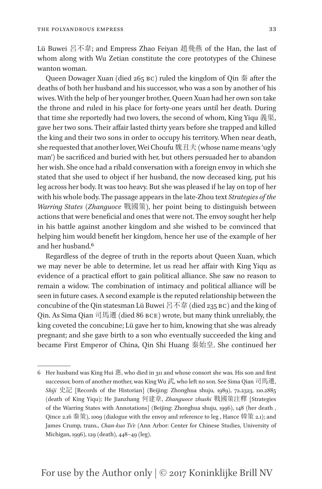Lü Buwei 呂不韋; and Empress Zhao Feiyan 趙飛燕 of the Han, the last of whom along with Wu Zetian constitute the core prototypes of the Chinese wanton woman.

Queen Dowager Xuan (died 265 BC) ruled the kingdom of Qin 秦 after the deaths of both her husband and his successor, who was a son by another of his wives. With the help of her younger brother, Queen Xuan had her own son take the throne and ruled in his place for forty-one years until her death. During that time she reportedly had two lovers, the second of whom, King Yiqu 義渠, gave her two sons. Their affair lasted thirty years before she trapped and killed the king and their two sons in order to occupy his territory. When near death, she requested that another lover, Wei Choufu 魏丑夫 (whose name means 'ugly man') be sacrificed and buried with her, but others persuaded her to abandon her wish. She once had a ribald conversation with a foreign envoy in which she stated that she used to object if her husband, the now deceased king, put his leg across her body. It was too heavy. But she was pleased if he lay on top of her with his whole body. The passage appears in the late-Zhou text *Strategies of the Warring States* (*Zhanguoce* 戰國策), her point being to distinguish between actions that were beneficial and ones that were not. The envoy sought her help in his battle against another kingdom and she wished to be convinced that helping him would benefit her kingdom, hence her use of the example of her and her husband.6

Regardless of the degree of truth in the reports about Queen Xuan, which we may never be able to determine, let us read her affair with King Yiqu as evidence of a practical effort to gain political alliance. She saw no reason to remain a widow. The combination of intimacy and political alliance will be seen in future cases. A second example is the reputed relationship between the concubine of the Qin statesman Lü Buwei 呂不韋 (died 235 BC) and the king of Qin. As Sima Qian 司馬遷 (died 86 BCE) wrote, but many think unreliably, the king coveted the concubine; Lü gave her to him, knowing that she was already pregnant; and she gave birth to a son who eventually succeeded the king and became First Emperor of China, Qin Shi Huang 秦始皇. She continued her

<sup>6</sup> Her husband was King Hui 惠, who died in 311 and whose consort she was. His son and first successor, born of another mother, was King Wu 武, who left no son. See Sima Qian 司馬遷, *Shiji* 史記 [Records of the Historian] (Beijing: Zhonghua shuju, 1989), 72.2323, 110.2885 (death of King Yiqu); He Jianzhang 何建章, *Zhanguoce zhushi* 戰國策注釋 [Strategies of the Warring States with Annotations] (Beijing: Zhonghua shuju, 1996), 148 (her death , Qince 2.16 秦策), 1009 (dialogue with the envoy and reference to leg , Hance 韓策 2.1); and James Crump, trans., *Chan-kuo Ts'e* (Ann Arbor: Center for Chinese Studies, University of Michigan, 1996), 129 (death), 448–49 (leg).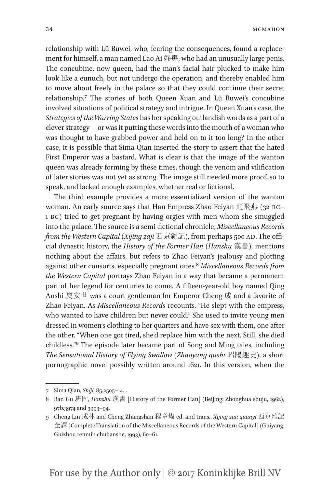relationship with Lü Buwei, who, fearing the consequences, found a replacement for himself, a man named Lao Ai 嫪毐, who had an unusually large penis. The concubine, now queen, had the man's facial hair plucked to make him look like a eunuch, but not undergo the operation, and thereby enabled him to move about freely in the palace so that they could continue their secret relationship.7 The stories of both Queen Xuan and Lü Buwei's concubine involved situations of political strategy and intrigue. In Queen Xuan's case, the *Strategies of the Warring States* has her speaking outlandish words as a part of a clever strategy—or was it putting those words into the mouth of a woman who was thought to have grabbed power and held on to it too long? In the other case, it is possible that Sima Qian inserted the story to assert that the hated First Emperor was a bastard. What is clear is that the image of the wanton queen was already forming by these times, though the venom and vilification of later stories was not yet as strong. The image still needed more proof, so to speak, and lacked enough examples, whether real or fictional.

The third example provides a more essentialized version of the wanton woman. An early source says that Han Empress Zhao Feiyan 趙飛燕 (32 BC– 1 BC) tried to get pregnant by having orgies with men whom she smuggled into the palace. The source is a semi-fictional chronicle, *Miscellaneous Records from the Western Capital (Xijing zaji* 西京雜記), from perhaps 500 AD. The official dynastic history, the *History of the Former Han* (*Hanshu* 漢書), mentions nothing about the affairs, but refers to Zhao Feiyan's jealousy and plotting against other consorts, especially pregnant ones.8 *Miscellaneous Records from the Western Capital* portrays Zhao Feiyan in a way that became a permanent part of her legend for centuries to come. A fifteen-year-old boy named Qing Anshi 慶安世 was a court gentleman for Emperor Cheng 成 and a favorite of Zhao Feiyan. As *Miscellaneous Records* recounts, "He slept with the empress, who wanted to have children but never could." She used to invite young men dressed in women's clothing to her quarters and have sex with them, one after the other. "When one got tired, she'd replace him with the next. Still, she died childless."9 The episode later became part of Song and Ming tales, including *The Sensational History of Flying Swallow* (*Zhaoyang qushi* 昭陽趣史), a short pornographic novel possibly written around 1621. In this version, when the

<sup>7</sup> Sima Qian, *Shiji*, 85.2505–14. .

<sup>8</sup> Ban Gu 班固, *Hanshu* 漢書 [History of the Former Han] (Beijing: Zhonghua shuju, 1962), 97b.3974 and 3993–94.

<sup>9</sup> Cheng Lin 成林 and Cheng Zhangshan 程章燦 ed. and trans., *Xijing zaji quanyi* 西京雜記 全譯 [Complete Translation of the Miscellaneous Records of the Western Capital] (Guiyang: Guizhou renmin chubanshe, 1993), 60–61.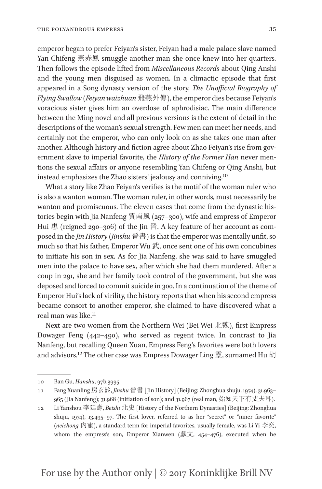emperor began to prefer Feiyan's sister, Feiyan had a male palace slave named Yan Chifeng 燕赤鳳 smuggle another man she once knew into her quarters. Then follows the episode lifted from *Miscellaneous Records* about Qing Anshi and the young men disguised as women. In a climactic episode that first appeared in a Song dynasty version of the story, *The Unofficial Biography of Flying Swallow* (*Feiyan waizhuan* 飛燕外傳), the emperor dies because Feiyan's voracious sister gives him an overdose of aphrodisiac. The main difference between the Ming novel and all previous versions is the extent of detail in the descriptions of the woman's sexual strength. Few men can meet her needs, and certainly not the emperor, who can only look on as she takes one man after another. Although history and fiction agree about Zhao Feiyan's rise from government slave to imperial favorite, the *History of the Former Han* never mentions the sexual afffairs or anyone resembling Yan Chifeng or Qing Anshi, but instead emphasizes the Zhao sisters' jealousy and conniving.10

What a story like Zhao Feiyan's verifies is the motif of the woman ruler who is also a wanton woman. The woman ruler, in other words, must necessarily be wanton and promiscuous. The eleven cases that come from the dynastic histories begin with Jia Nanfeng 賈南風 (257–300), wife and empress of Emperor Hui 惠 (reigned 290-306) of the Jin 晉. A key feature of her account as composed in the *Jin History* (*Jinshu* 晉書) is that the emperor was mentally unfit, so much so that his father, Emperor Wu  $\vec{x}$ , once sent one of his own concubines to initiate his son in sex. As for Jia Nanfeng, she was said to have smuggled men into the palace to have sex, after which she had them murdered. After a coup in 291, she and her family took control of the government, but she was deposed and forced to commit suicide in 300. In a continuation of the theme of Emperor Hui's lack of virility, the history reports that when his second empress became consort to another emperor, she claimed to have discovered what a real man was like.11

Next are two women from the Northern Wei (Bei Wei 北魏), first Empress Dowager Feng (442–490), who served as regent twice. In contrast to Jia Nanfeng, but recalling Queen Xuan, Empress Feng's favorites were both lovers and advisors.12 The other case was Empress Dowager Ling 靈, surnamed Hu 胡

<sup>10</sup> Ban Gu, *Hanshu*, 97b.3995.

<sup>11</sup> Fang Xuanling 房玄齡, *Jinshu* 晉書 [Jin History] (Beijing: Zhonghua shuju, 1974), 31.963– 965 (Jia Nanfeng); 31.968 (initiation of son); and 31.967 (real man, 始知天下有丈夫耳).

<sup>12</sup> Li Yanshou 李延壽, *Beishi* 北史 [History of the Northern Dynasties] (Beijing: Zhonghua shuju, 1974), 13.495-97. The first lover, referred to as her "secret" or "inner favorite" (*neichong* 內寵), a standard term for imperial favorites, usually female, was Li Yi 李奕, whom the empress's son, Emperor Xianwen (獻文, 454-476), executed when he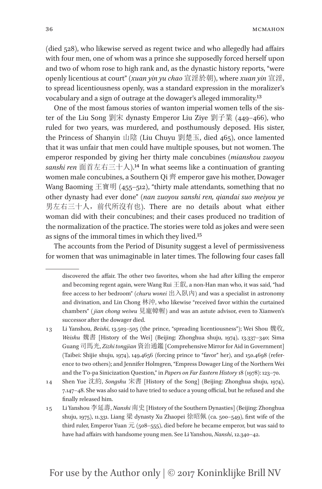(died 528), who likewise served as regent twice and who allegedly had affairs with four men, one of whom was a prince she supposedly forced herself upon and two of whom rose to high rank and, as the dynastic history reports, "were openly licentious at court" (*xuan yin yu chao* 宣淫於朝), where *xuan yin* 宣淫, to spread licentiousness openly, was a standard expression in the moralizer's vocabulary and a sign of outrage at the dowager's alleged immorality.13

One of the most famous stories of wanton imperial women tells of the sister of the Liu Song 劉宋 dynasty Emperor Liu Ziye 劉子業 (449–466), who ruled for two years, was murdered, and posthumously deposed. His sister, the Princess of Shanyin 山陰 (Liu Chuyu 劉楚玉, died 465), once lamented that it was unfair that men could have multiple spouses, but not women. The emperor responded by giving her thirty male concubines (*mianshou zuoyou sanshi ren* 面首左右三十人).14 In what seems like a continuation of granting women male concubines, a Southern Qi 齊 emperor gave his mother, Dowager Wang Baoming  $\pm \tilde{g}$  明 (455–512), "thirty male attendants, something that no other dynasty had ever done" (*nan zuoyou sanshi ren, qiandai suo meiyou ye* 男左右三十人,前代所沒有也). There are no details about what either woman did with their concubines; and their cases produced no tradition of the normalization of the practice. The stories were told as jokes and were seen as signs of the immoral times in which they lived.15

The accounts from the Period of Disunity suggest a level of permissiveness for women that was unimaginable in later times. The following four cases fall

discovered the afffair. The other two favorites, whom she had after killing the emperor and becoming regent again, were Wang Rui 王叡, a non-Han man who, it was said, "had free access to her bedroom" (*churu wonei* 出入臥內) and was a specialist in astronomy and divination, and Lin Chong 林沖, who likewise "received favor within the curtained chambers" *( jian chong weiwu* 見寵幃幄) and was an astute advisor, even to Xianwen's successor after the dowager died.

<sup>13</sup> Li Yanshou, *Beishi*, 13.503–505 (the prince, "spreading licentiousness"); Wei Shou 魏收, *Weishu* 魏書 [History of the Wei] (Beijing: Zhonghua shuju, 1974), 13.337–340; Sima Guang 司馬光, *Zizhi tongjian* 資治通鑑 [Comprehensive Mirror for Aid in Government] (Taibei: Shijie shuju, 1974), 149.4656 (forcing prince to "favor" her), and 150.4698 (reference to two others); and Jennifer Holmgren, "Empress Dowager Ling of the Northern Wei and the T'o-pa Sinicization Question," in *Papers on Far Eastern History* 18 (1978): 123–70.

<sup>14</sup> Shen Yue 沈約, *Songshu* 宋書 [History of the Song] (Beijing: Zhonghua shuju, 1974), 7.147–48. She was also said to have tried to seduce a young official, but he refused and she finally released him.

<sup>15</sup> Li Yanshou 李延壽, *Nanshi* 南史 [History of the Southern Dynasties] (Beijing: Zhonghua shuju, 1975), 11.331. Liang 梁 dynasty Xu Zhaopei 徐昭佩 (ca. 500–549), first wife of the third ruler, Emperor Yuan  $\vec{\pi}$  (508–555), died before he became emperor, but was said to have had affairs with handsome young men. See Li Yanshou, *Nanshi*, 12.340–42.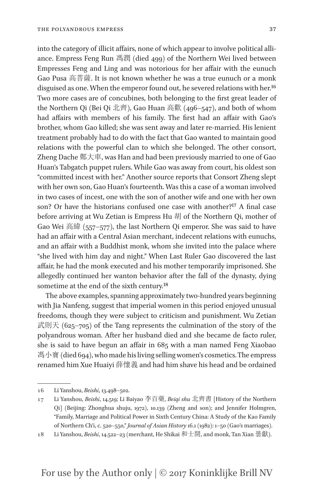into the category of illicit affairs, none of which appear to involve political alliance. Empress Feng Run 馮潤 (died 499) of the Northern Wei lived between Empresses Feng and Ling and was notorious for her afffair with the eunuch Gao Pusa 高菩薩. It is not known whether he was a true eunuch or a monk disguised as one. When the emperor found out, he severed relations with her.<sup>16</sup> Two more cases are of concubines, both belonging to the first great leader of the Northern Qi (Bei Qi 北齊), Gao Huan 高歡 (496–547), and both of whom had affairs with members of his family. The first had an affair with Gao's brother, whom Gao killed; she was sent away and later re-married. His lenient treatment probably had to do with the fact that Gao wanted to maintain good relations with the powerful clan to which she belonged. The other consort, Zheng Dache 鄭大車, was Han and had been previously married to one of Gao Huan's Tabgatch puppet rulers. While Gao was away from court, his oldest son "committed incest with her." Another source reports that Consort Zheng slept with her own son, Gao Huan's fourteenth. Was this a case of a woman involved in two cases of incest, one with the son of another wife and one with her own son? Or have the historians confused one case with another?<sup>17</sup> A final case before arriving at Wu Zetian is Empress Hu 胡 of the Northern Qi, mother of Gao Wei 高緯 (557–577), the last Northern Qi emperor. She was said to have had an affair with a Central Asian merchant, indecent relations with eunuchs, and an affair with a Buddhist monk, whom she invited into the palace where "she lived with him day and night." When Last Ruler Gao discovered the last afffair, he had the monk executed and his mother temporarily imprisoned. She allegedly continued her wanton behavior after the fall of the dynasty, dying sometime at the end of the sixth century.<sup>18</sup>

The above examples, spanning approximately two-hundred years beginning with Jia Nanfeng, suggest that imperial women in this period enjoyed unusual freedoms, though they were subject to criticism and punishment. Wu Zetian 武則天 (625–705) of the Tang represents the culmination of the story of the polyandrous woman. After her husband died and she became de facto ruler, she is said to have begun an afffair in 685 with a man named Feng Xiaobao 馮小寶 (died 694), who made his living selling women's cosmetics. The empress renamed him Xue Huaiyi 薛懷義 and had him shave his head and be ordained

<sup>16</sup> Li Yanshou, *Beishi*, 13.498–502.

<sup>17</sup> Li Yanshou, *Beishi*, 14.519; Li Baiyao 李百藥, *Beiqi shu* 北齊書 [History of the Northern Qi] (Beijing: Zhonghua shuju, 1972), 10.139 (Zheng and son); and Jennifer Holmgren, "Family, Marriage and Political Power in Sixth Century China: A Study of the Kao Family of Northern Ch'i, c. 520–550," *Journal of Asian History* 16.1 (1982): 1–50 (Gao's marriages).

<sup>18</sup> Li Yanshou, *Beishi*, 14.522–23 (merchant, He Shikai 和士開, and monk, Tan Xian 曇獻).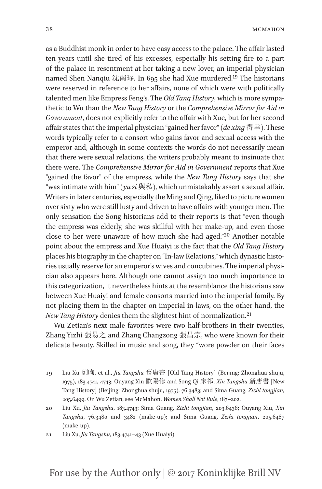as a Buddhist monk in order to have easy access to the palace. The afffair lasted ten years until she tired of his excesses, especially his setting fire to a part of the palace in resentment at her taking a new lover, an imperial physician named Shen Nanqiu 沈南璆. In 695 she had Xue murdered.<sup>19</sup> The historians were reserved in reference to her afffairs, none of which were with politically talented men like Empress Feng's. The *Old Tang History*, which is more sympathetic to Wu than the *New Tang History* or the *Comprehensive Mirror for Aid in*  Government, does not explicitly refer to the affair with Xue, but for her second afffair states that the imperial physician "gained her favor" (*de xing* 得幸). These words typically refer to a consort who gains favor and sexual access with the emperor and, although in some contexts the words do not necessarily mean that there were sexual relations, the writers probably meant to insinuate that there were. The *Comprehensive Mirror for Aid in Government* reports that Xue "gained the favor" of the empress, while the *New Tang History* says that she "was intimate with him" *(yu si* 與私*)*, which unmistakably assert a sexual afffair. Writers in later centuries, especially the Ming and Qing, liked to picture women over sixty who were still lusty and driven to have afffairs with younger men. The only sensation the Song historians add to their reports is that "even though the empress was elderly, she was skillful with her make-up, and even those close to her were unaware of how much she had aged."20 Another notable point about the empress and Xue Huaiyi is the fact that the *Old Tang History* places his biography in the chapter on "In-law Relations," which dynastic histories usually reserve for an emperor's wives and concubines. The imperial physician also appears here. Although one cannot assign too much importance to this categorization, it nevertheless hints at the resemblance the historians saw between Xue Huaiyi and female consorts married into the imperial family. By not placing them in the chapter on imperial in-laws, on the other hand, the *New Tang History* denies them the slightest hint of normalization.21

Wu Zetian's next male favorites were two half-brothers in their twenties, Zhang Yizhi 張易之 and Zhang Changzong 張昌宗, who were known for their delicate beauty. Skilled in music and song, they "wore powder on their faces

<sup>19</sup> Liu Xu 劉昫, et al., *Jiu Tangshu* 舊唐書 [Old Tang History] (Beijing: Zhonghua shuju, 1975), 183.4741, 4743; Ouyang Xiu 歐陽修 and Song Qi 宋祁, *Xin Tangshu* 新唐書 [New Tang History] (Beijing: Zhonghua shuju, 1975), 76.3483; and Sima Guang, *Zizhi tongjian*, 205.6499. On Wu Zetian, see McMahon, *Women Shall Not Rule*, 187–202.

<sup>20</sup> Liu Xu, *Jiu Tangshu*, 183.4743; Sima Guang, *Zizhi tongjian*, 203.6436; Ouyang Xiu, *Xin Tangshu*, 76.3480 and 3482 (make-up); and Sima Guang, *Zizhi tongjian*, 205.6487 (make-up).

<sup>21</sup> Liu Xu, *Jiu Tangshu*, 183.4741–43 (Xue Huaiyi).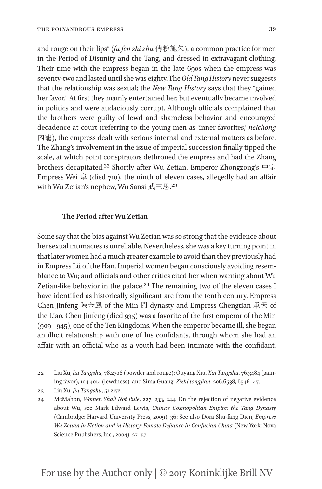and rouge on their lips" (*fu fen shi zhu* 傅粉施朱), a common practice for men in the Period of Disunity and the Tang, and dressed in extravagant clothing. Their time with the empress began in the late 690s when the empress was seventy-two and lasted until she was eighty. The *Old Tang History* never suggests that the relationship was sexual; the *New Tang History* says that they "gained her favor." At first they mainly entertained her, but eventually became involved in politics and were audaciously corrupt. Although officials complained that the brothers were guilty of lewd and shameless behavior and encouraged decadence at court (referring to the young men as 'inner favorites,' *neichong* 內寵), the empress dealt with serious internal and external matters as before. The Zhang's involvement in the issue of imperial succession finally tipped the scale, at which point conspirators dethroned the empress and had the Zhang brothers decapitated.22 Shortly after Wu Zetian, Emperor Zhongzong's 中宗 Empress Wei  $\hat{\equiv}$  (died 710), the ninth of eleven cases, allegedly had an affair with Wu Zetian's nephew, Wu Sansi 武三思.23

#### **The Period after Wu Zetian**

Some say that the bias against Wu Zetian was so strong that the evidence about her sexual intimacies is unreliable. Nevertheless, she was a key turning point in that later women had a much greater example to avoid than they previously had in Empress Lü of the Han. Imperial women began consciously avoiding resemblance to Wu; and officials and other critics cited her when warning about Wu Zetian-like behavior in the palace.<sup>24</sup> The remaining two of the eleven cases I have identified as historically significant are from the tenth century, Empress Chen Jinfeng 陳金鳳 of the Min 閩 dynasty and Empress Chengtian 承天 of the Liao. Chen Jinfeng (died 935) was a favorite of the first emperor of the Min (909– 945), one of the Ten Kingdoms. When the emperor became ill, she began an illicit relationship with one of his confidants, through whom she had an affair with an official who as a youth had been intimate with the confidant.

<sup>22</sup> Liu Xu, *Jiu Tangshu*, 78.2706 (powder and rouge); Ouyang Xiu, *Xin Tangshu*, 76.3484 (gaining favor), 104.4014 (lewdness); and Sima Guang, *Zizhi tongjian*, 206.6538, 6546–47.

<sup>23</sup> Liu Xu, *Jiu Tangshu*, 51.2172.

<sup>24</sup> McMahon, *Women Shall Not Rule*, 227, 233, 244. On the rejection of negative evidence about Wu, see Mark Edward Lewis, *China's Cosmopolitan Empire: the Tang Dynasty* (Cambridge: Harvard University Press, 2009), 36; See also Dora Shu-fang Dien, *Empress Wu Zetian in Fiction and in History: Female Defiance in Confucian China* (New York: Nova Science Publishers, Inc., 2004), 27–57.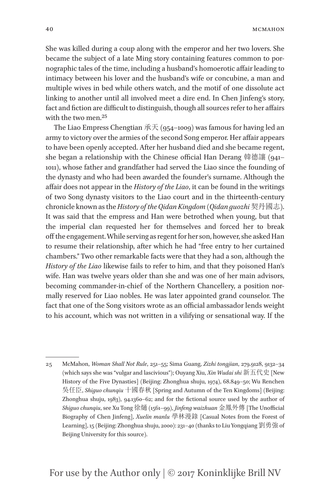She was killed during a coup along with the emperor and her two lovers. She became the subject of a late Ming story containing features common to pornographic tales of the time, including a husband's homoerotic afffair leading to intimacy between his lover and the husband's wife or concubine, a man and multiple wives in bed while others watch, and the motif of one dissolute act linking to another until all involved meet a dire end. In Chen Jinfeng's story, fact and fiction are difficult to distinguish, though all sources refer to her affairs with the two men.25

The Liao Empress Chengtian  $\ddot{\text{A}} \times (954 - 1009)$  was famous for having led an army to victory over the armies of the second Song emperor. Her affair appears to have been openly accepted. After her husband died and she became regent, she began a relationship with the Chinese official Han Derang 韓德讓 (941– 1011), whose father and grandfather had served the Liao since the founding of the dynasty and who had been awarded the founder's surname. Although the afffair does not appear in the *History of the Liao*, it can be found in the writings of two Song dynasty visitors to the Liao court and in the thirteenth-century chronicle known as the *History of the Qidan Kingdom* (*Qidan guozhi* 契丹國志). It was said that the empress and Han were betrothed when young, but that the imperial clan requested her for themselves and forced her to break offf the engagement. While serving as regent for her son, however, she asked Han to resume their relationship, after which he had "free entry to her curtained chambers." Two other remarkable facts were that they had a son, although the *History of the Liao* likewise fails to refer to him, and that they poisoned Han's wife. Han was twelve years older than she and was one of her main advisors, becoming commander-in-chief of the Northern Chancellery, a position normally reserved for Liao nobles. He was later appointed grand counselor. The fact that one of the Song visitors wrote as an official ambassador lends weight to his account, which was not written in a vilifying or sensational way. If the

<sup>25</sup> McMahon, *Woman Shall Not Rule*, 251–55; Sima Guang, *Zizhi tongjian*, 279.9128, 9132–34 (which says she was "vulgar and lascivious"); Ouyang Xiu, *Xin Wudai shi* 新五代史 [New History of the Five Dynasties] (Beijing: Zhonghua shuju, 1974), 68.849–50; Wu Renchen 吳任臣, *Shiguo chunqiu* 十國春秋 [Spring and Autumn of the Ten Kingdoms] (Beijing: Zhonghua shuju,  $1983$ ),  $94.1360-62$ ; and for the fictional source used by the author of *Shiguo chunqiu*, see Xu Tong 徐熥 (1561–99), *Jinfeng waizhuan* 金鳳外傳 [The Unofficial Biography of Chen Jinfeng], *Xuelin manlu* 學林漫錄 [Casual Notes from the Forest of Learning], 15 (Beijing: Zhonghua shuju, 2000): 231-40 (thanks to Liu Yongqiang 劉勇強 of Beijing University for this source).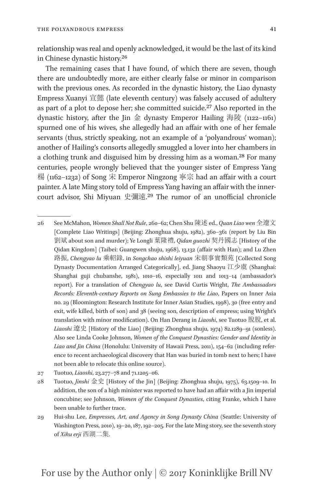relationship was real and openly acknowledged, it would be the last of its kind in Chinese dynastic history.26

The remaining cases that I have found, of which there are seven, though there are undoubtedly more, are either clearly false or minor in comparison with the previous ones. As recorded in the dynastic history, the Liao dynasty Empress Xuanyi 宣懿 (late eleventh century) was falsely accused of adultery as part of a plot to depose her; she committed suicide.27 Also reported in the dynastic history, after the Jin 金 dynasty Emperor Hailing 海陵 (1122–1161) spurned one of his wives, she allegedly had an afffair with one of her female servants (thus, strictly speaking, not an example of a 'polyandrous' woman); another of Hailing's consorts allegedly smuggled a lover into her chambers in a clothing trunk and disguised him by dressing him as a woman.<sup>28</sup> For many centuries, people wrongly believed that the younger sister of Empress Yang 楊 (1162–1232) of Song 宋 Emperor Ningzong 寧宗 had an afffair with a court painter. A late Ming story told of Empress Yang having an afffair with the innercourt advisor, Shi Miyuan 史彌遠.<sup>29</sup> The rumor of an unofficial chronicle

26 See McMahon, *Women Shall Not Rule*, 260–62; Chen Shu 陳述 ed., *Quan Liao wen* 全遼文 [Complete Liao Writings] (Beijing: Zhonghua shuju, 1982), 360–361 (report by Liu Bin 劉斌 about son and murder); Ye Longli 葉隆禮, *Qidan guozhi* 契丹國志 [History of the Qidan Kingdom] (Taibei: Guangwen shuju, 1968), 13.132 (afffair with Han); and Lu Zhen 路振, *Chengyao lu* 乘軺錄, in *Songchao shishi leiyuan* 宋朝事實類苑 [Collected Song Dynasty Documentation Arranged Categorically], ed. Jiang Shaoyu 江少虞 (Shanghai: Shanghai guji chubanshe, 1981), 1010–16, especially 1011 and 1013–14 (ambassador's report). For a translation of *Chengyao lu*, see David Curtis Wright, *The Ambassadors Records: Eleventh-century Reports on Sung Embassies to the Liao*, Papers on Inner Asia no. 29 (Bloomington: Research Institute for Inner Asian Studies, 1998), 30 (free entry and exit, wife killed, birth of son) and 38 (seeing son, description of empress; using Wright's translation with minor modification). On Han Derang in *Liaoshi*, see Tuotuo 脫脫, et al. *Liaoshi* 遼史 [History of the Liao] (Beijing: Zhonghua shuju, 1974) 82.1289–91 (sonless). Also see Linda Cooke Johnson, *Women of the Conquest Dynasties: Gender and Identity in Liao and Jin China* (Honolulu: University of Hawaii Press, 2011), 154–62 (including reference to recent archaeological discovery that Han was buried in tomb next to hers; I have not been able to relocate this online source).

- 27 Tuotuo, *Liaoshi*, 23.277–78 and 71.1205–06.
- 28 Tuotuo, *Jinshi* 金史 [History of the Jin] (Beijing: Zhonghua shuju, 1975), 63.1509–10. In addition, the son of a high minister was reported to have had an affair with a Jin imperial concubine; see Johnson, *Women of the Conquest Dynasties*, citing Franke, which I have been unable to further trace.
- 29 Hui-shu Lee, *Empresses, Art, and Agency in Song Dynasty China* (Seattle: University of Washington Press, 2010), 19–20, 187, 192–205. For the late Ming story, see the seventh story of *Xihu erji* 西湖二集.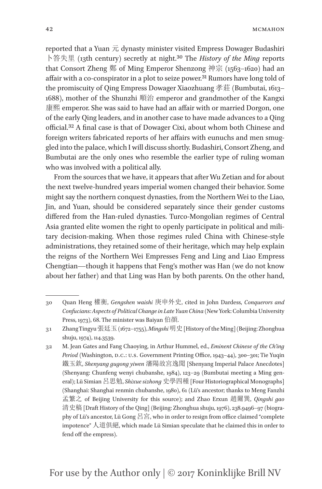reported that a Yuan  $\bar{\pi}$  dynasty minister visited Empress Dowager Budashiri 卜答失里 (13th century) secretly at night.30 The *History of the Ming* reports that Consort Zheng 鄭 of Ming Emperor Shenzong 神宗 (1563–1620) had an affair with a co-conspirator in a plot to seize power.<sup>31</sup> Rumors have long told of the promiscuity of Qing Empress Dowager Xiaozhuang 孝莊 (Bumbutai, 1613– 1688), mother of the Shunzhi 順治 emperor and grandmother of the Kangxi 康熙 emperor. She was said to have had an affair with or married Dorgon, one of the early Qing leaders, and in another case to have made advances to a Qing official.<sup>32</sup> A final case is that of Dowager Cixi, about whom both Chinese and foreign writers fabricated reports of her affairs with eunuchs and men smuggled into the palace, which I will discuss shortly. Budashiri, Consort Zheng, and Bumbutai are the only ones who resemble the earlier type of ruling woman who was involved with a political ally.

From the sources that we have, it appears that after Wu Zetian and for about the next twelve-hundred years imperial women changed their behavior. Some might say the northern conquest dynasties, from the Northern Wei to the Liao, Jin, and Yuan, should be considered separately since their gender customs difffered from the Han-ruled dynasties. Turco-Mongolian regimes of Central Asia granted elite women the right to openly participate in political and military decision-making. When those regimes ruled China with Chinese-style administrations, they retained some of their heritage, which may help explain the reigns of the Northern Wei Empresses Feng and Ling and Liao Empress Chengtian—though it happens that Feng's mother was Han (we do not know about her father) and that Ling was Han by both parents. On the other hand,

<sup>30</sup> Quan Heng 權衡, *Gengshen waishi* 庚申外史, cited in John Dardess, *Conquerors and Confucians: Aspects of Political Change in Late Yuan China* (New York: Columbia University Press, 1973), 68. The minister was Baiyan 伯顏.

<sup>31</sup> Zhang Tingyu 張廷玉 (1672–1755), *Mingshi*明史 [History of the Ming] (Beijing: Zhonghua shuju, 1974), 114.3539.

<sup>32</sup> M. Jean Gates and Fang Chaoying, in Arthur Hummel, ed., *Eminent Chinese of the Ch'ing*  Period (Washington, D.C.: U.S. Government Printing Office, 1943–44), 300–301; Tie Yuqin 鐵玉欽, *Shenyang gugong yiwen* 瀋陽故宮逸聞 [Shenyang Imperial Palace Anecdotes] (Shenyang: Chunfeng wenyi chubanshe, 1984), 123–29 (Bumbutai meeting a Ming general); Lü Simian 呂思勉, *Shixue sizhong* 史學四種 [Four Historiographical Monographs] (Shanghai: Shanghai renmin chubanshe, 1980), 61 (Lü's ancestor; thanks to Meng Fanzhi 孟繁之 of Beijing University for this source); and Zhao Erxun 趙爾巽, *Qingshi gao* 清史稿 [Draft History of the Qing] (Beijing: Zhonghua shuju, 1976), 238.9496-97 (biography of Lü's ancestor, Lü Gong 呂宮, who in order to resign from office claimed "complete impotence" 人道俱絕, which made Lü Simian speculate that he claimed this in order to fend off the empress).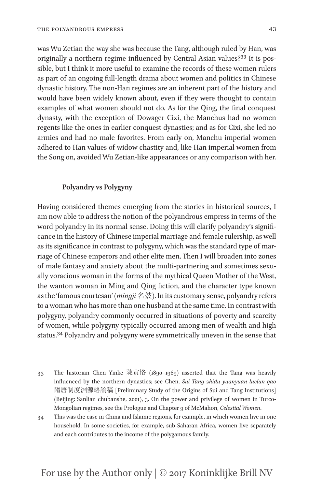was Wu Zetian the way she was because the Tang, although ruled by Han, was originally a northern regime influenced by Central Asian values?<sup>33</sup> It is possible, but I think it more useful to examine the records of these women rulers as part of an ongoing full-length drama about women and politics in Chinese dynastic history. The non-Han regimes are an inherent part of the history and would have been widely known about, even if they were thought to contain examples of what women should not do. As for the Qing, the final conquest dynasty, with the exception of Dowager Cixi, the Manchus had no women regents like the ones in earlier conquest dynasties; and as for Cixi, she led no armies and had no male favorites. From early on, Manchu imperial women adhered to Han values of widow chastity and, like Han imperial women from the Song on, avoided Wu Zetian-like appearances or any comparison with her.

#### **Polyandry vs Polygyny**

Having considered themes emerging from the stories in historical sources, I am now able to address the notion of the polyandrous empress in terms of the word polyandry in its normal sense. Doing this will clarify polyandry's significance in the history of Chinese imperial marriage and female rulership, as well as its significance in contrast to polygyny, which was the standard type of marriage of Chinese emperors and other elite men. Then I will broaden into zones of male fantasy and anxiety about the multi-partnering and sometimes sexually voracious woman in the forms of the mythical Queen Mother of the West, the wanton woman in Ming and Qing fiction, and the character type known as the 'famous courtesan' (*mingji*名妓). In its customary sense, polyandry refers to a woman who has more than one husband at the same time. In contrast with polygyny, polyandry commonly occurred in situations of poverty and scarcity of women, while polygyny typically occurred among men of wealth and high status.<sup>34</sup> Polyandry and polygyny were symmetrically uneven in the sense that

<sup>33</sup> The historian Chen Yinke 陳寅恪 (1890–1969) asserted that the Tang was heavily influenced by the northern dynasties; see Chen, *Sui Tang zhidu yuanyuan luelun gao* 隋唐制度淵源略論稿 [Preliminary Study of the Origins of Sui and Tang Institutions] (Beijing: Sanlian chubanshe, 2001), 3. On the power and privilege of women in Turco-Mongolian regimes, see the Prologue and Chapter 9 of McMahon, *Celestial Women*.

<sup>34</sup> This was the case in China and Islamic regions, for example, in which women live in one household. In some societies, for example, sub-Saharan Africa, women live separately and each contributes to the income of the polygamous family.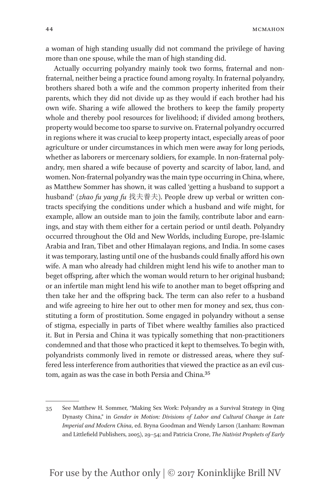a woman of high standing usually did not command the privilege of having more than one spouse, while the man of high standing did.

Actually occurring polyandry mainly took two forms, fraternal and nonfraternal, neither being a practice found among royalty. In fraternal polyandry, brothers shared both a wife and the common property inherited from their parents, which they did not divide up as they would if each brother had his own wife. Sharing a wife allowed the brothers to keep the family property whole and thereby pool resources for livelihood; if divided among brothers, property would become too sparse to survive on. Fraternal polyandry occurred in regions where it was crucial to keep property intact, especially areas of poor agriculture or under circumstances in which men were away for long periods, whether as laborers or mercenary soldiers, for example. In non-fraternal polyandry, men shared a wife because of poverty and scarcity of labor, land, and women. Non-fraternal polyandry was the main type occurring in China, where, as Matthew Sommer has shown, it was called 'getting a husband to support a husband' (*zhao fu yang fu* 找夫養夫). People drew up verbal or written contracts specifying the conditions under which a husband and wife might, for example, allow an outside man to join the family, contribute labor and earnings, and stay with them either for a certain period or until death. Polyandry occurred throughout the Old and New Worlds, including Europe, pre-Islamic Arabia and Iran, Tibet and other Himalayan regions, and India. In some cases it was temporary, lasting until one of the husbands could finally afford his own wife. A man who already had children might lend his wife to another man to beget offspring, after which the woman would return to her original husband; or an infertile man might lend his wife to another man to beget offfspring and then take her and the offspring back. The term can also refer to a husband and wife agreeing to hire her out to other men for money and sex, thus constituting a form of prostitution. Some engaged in polyandry without a sense of stigma, especially in parts of Tibet where wealthy families also practiced it. But in Persia and China it was typically something that non-practitioners condemned and that those who practiced it kept to themselves. To begin with, polyandrists commonly lived in remote or distressed areas, where they suffered less interference from authorities that viewed the practice as an evil custom, again as was the case in both Persia and China.<sup>35</sup>

<sup>35</sup> See Matthew H. Sommer, "Making Sex Work: Polyandry as a Survival Strategy in Qing Dynasty China," in *Gender in Motion: Divisions of Labor and Cultural Change in Late Imperial and Modern China*, ed. Bryna Goodman and Wendy Larson (Lanham: Rowman and Littlefield Publishers, 2005), 29–54; and Patricia Crone, *The Nativist Prophets of Early*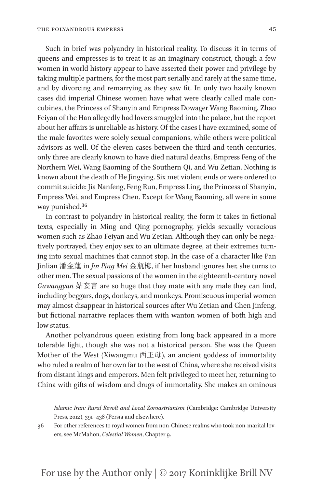Such in brief was polyandry in historical reality. To discuss it in terms of queens and empresses is to treat it as an imaginary construct, though a few women in world history appear to have asserted their power and privilege by taking multiple partners, for the most part serially and rarely at the same time, and by divorcing and remarrying as they saw fit. In only two hazily known cases did imperial Chinese women have what were clearly called male concubines, the Princess of Shanyin and Empress Dowager Wang Baoming. Zhao Feiyan of the Han allegedly had lovers smuggled into the palace, but the report about her affairs is unreliable as history. Of the cases I have examined, some of the male favorites were solely sexual companions, while others were political advisors as well. Of the eleven cases between the third and tenth centuries, only three are clearly known to have died natural deaths, Empress Feng of the Northern Wei, Wang Baoming of the Southern Qi, and Wu Zetian. Nothing is known about the death of He Jingying. Six met violent ends or were ordered to commit suicide: Jia Nanfeng, Feng Run, Empress Ling, the Princess of Shanyin, Empress Wei, and Empress Chen. Except for Wang Baoming, all were in some way punished.36

In contrast to polyandry in historical reality, the form it takes in fictional texts, especially in Ming and Qing pornography, yields sexually voracious women such as Zhao Feiyan and Wu Zetian. Although they can only be negatively portrayed, they enjoy sex to an ultimate degree, at their extremes turning into sexual machines that cannot stop. In the case of a character like Pan Jinlian 潘金蓮 in *Jin Ping Mei* 金瓶梅, if her husband ignores her, she turns to other men. The sexual passions of the women in the eighteenth-century novel Guwangyan 姑妄言 are so huge that they mate with any male they can find, including beggars, dogs, donkeys, and monkeys. Promiscuous imperial women may almost disappear in historical sources after Wu Zetian and Chen Jinfeng, but fictional narrative replaces them with wanton women of both high and low status.

Another polyandrous queen existing from long back appeared in a more tolerable light, though she was not a historical person. She was the Queen Mother of the West (Xiwangmu 西王母), an ancient goddess of immortality who ruled a realm of her own far to the west of China, where she received visits from distant kings and emperors. Men felt privileged to meet her, returning to China with gifts of wisdom and drugs of immortality. She makes an ominous

*Islamic Iran: Rural Revolt and Local Zoroastrianism* (Cambridge: Cambridge University Press, 2012), 391–438 (Persia and elsewhere).

<sup>36</sup> For other references to royal women from non-Chinese realms who took non-marital lovers, see McMahon, *Celestial Women*, Chapter 9.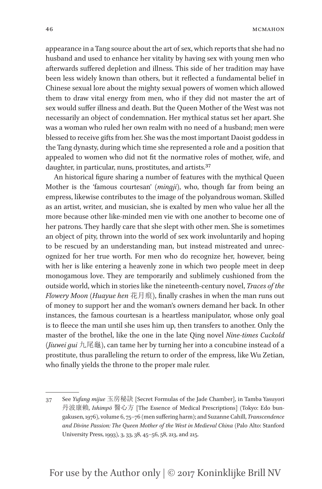appearance in a Tang source about the art of sex, which reports that she had no husband and used to enhance her vitality by having sex with young men who afterwards suffered depletion and illness. This side of her tradition may have been less widely known than others, but it reflected a fundamental belief in Chinese sexual lore about the mighty sexual powers of women which allowed them to draw vital energy from men, who if they did not master the art of sex would sufffer illness and death. But the Queen Mother of the West was not necessarily an object of condemnation. Her mythical status set her apart. She was a woman who ruled her own realm with no need of a husband; men were blessed to receive gifts from her. She was the most important Daoist goddess in the Tang dynasty, during which time she represented a role and a position that appealed to women who did not fit the normative roles of mother, wife, and daughter, in particular, nuns, prostitutes, and artists.<sup>37</sup>

An historical figure sharing a number of features with the mythical Queen Mother is the 'famous courtesan' (*mingji*), who, though far from being an empress, likewise contributes to the image of the polyandrous woman. Skilled as an artist, writer, and musician, she is exalted by men who value her all the more because other like-minded men vie with one another to become one of her patrons. They hardly care that she slept with other men. She is sometimes an object of pity, thrown into the world of sex work involuntarily and hoping to be rescued by an understanding man, but instead mistreated and unrecognized for her true worth. For men who do recognize her, however, being with her is like entering a heavenly zone in which two people meet in deep monogamous love. They are temporarily and sublimely cushioned from the outside world, which in stories like the nineteenth-century novel, *Traces of the Flowery Moon (Huayue hen 花月*痕), finally crashes in when the man runs out of money to support her and the woman's owners demand her back. In other instances, the famous courtesan is a heartless manipulator, whose only goal is to fleece the man until she uses him up, then transfers to another. Only the master of the brothel, like the one in the late Qing novel *Nine-times Cuckold* (*Jiuwei gui* 九尾龜), can tame her by turning her into a concubine instead of a prostitute, thus paralleling the return to order of the empress, like Wu Zetian, who finally yields the throne to the proper male ruler.

<sup>37</sup> See *Yufang mijue* 玉房秘訣 [Secret Formulas of the Jade Chamber], in Tamba Yasuyori 丹波康賴, *Ishimpō* 醫心方 [The Essence of Medical Prescriptions] (Tokyo: Edo bungakusen, 1976), volume 6, 75–76 (men sufffering harm); and Suzanne Cahill, *Transcendence and Divine Passion: The Queen Mother of the West in Medieval China* (Palo Alto: Stanford University Press, 1993), 3, 33, 38, 45–56, 58, 213, and 215.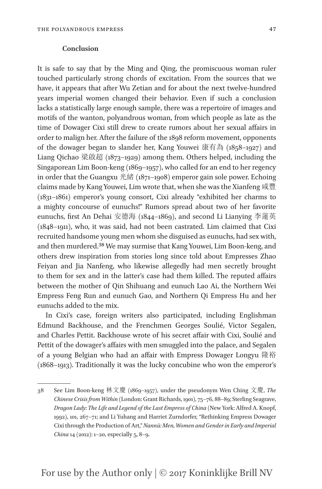#### **Conclusion**

It is safe to say that by the Ming and Qing, the promiscuous woman ruler touched particularly strong chords of excitation. From the sources that we have, it appears that after Wu Zetian and for about the next twelve-hundred years imperial women changed their behavior. Even if such a conclusion lacks a statistically large enough sample, there was a repertoire of images and motifs of the wanton, polyandrous woman, from which people as late as the time of Dowager Cixi still drew to create rumors about her sexual afffairs in order to malign her. After the failure of the 1898 reform movement, opponents of the dowager began to slander her, Kang Youwei 康有為 (1858–1927) and Liang Qichao 梁啟超 (1873–1929) among them. Others helped, including the Singaporean Lim Boon-keng (1869–1957), who called for an end to her regency in order that the Guangxu 光緒 (1871–1908) emperor gain sole power. Echoing claims made by Kang Youwei, Lim wrote that, when she was the Xianfeng 咸豐 (1831–1861) emperor's young consort, Cixi already "exhibited her charms to a mighty concourse of eunuchs!" Rumors spread about two of her favorite eunuchs, first An Dehai 安德海 (1844–1869), and second Li Lianying 李蓮英 (1848–1911), who, it was said, had not been castrated. Lim claimed that Cixi recruited handsome young men whom she disguised as eunuchs, had sex with, and then murdered.38 We may surmise that Kang Youwei, Lim Boon-keng, and others drew inspiration from stories long since told about Empresses Zhao Feiyan and Jia Nanfeng, who likewise allegedly had men secretly brought to them for sex and in the latter's case had them killed. The reputed affairs between the mother of Qin Shihuang and eunuch Lao Ai, the Northern Wei Empress Feng Run and eunuch Gao, and Northern Qi Empress Hu and her eunuchs added to the mix.

In Cixi's case, foreign writers also participated, including Englishman Edmund Backhouse, and the Frenchmen Georges Soulié, Victor Segalen, and Charles Pettit. Backhouse wrote of his secret affair with Cixi, Soulié and Pettit of the dowager's affairs with men smuggled into the palace, and Segalen of a young Belgian who had an affair with Empress Dowager Longyu 隆裕 (1868–1913). Traditionally it was the lucky concubine who won the emperor's

<sup>38</sup> See Lim Boon-keng 林文慶 (1869–1957), under the pseudonym Wen Ching 文慶, *The Chinese Crisis from Within* (London: Grant Richards, 1901), 75–76, 88–89; Sterling Seagrave, *Dragon Lady: The Life and Legend of the Last Empress of China* (New York: Alfred A. Knopf, 1992), 101, 267–71; and Li Yuhang and Harriet Zurndorfer, "Rethinking Empress Dowager Cixi through the Production of Art," *Nannü: Men, Women and Gender in Early and Imperial China* 14 (2012): 1-20, especially 5, 8-9.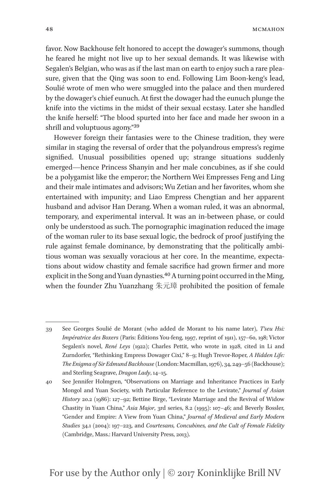favor. Now Backhouse felt honored to accept the dowager's summons, though he feared he might not live up to her sexual demands. It was likewise with Segalen's Belgian, who was as if the last man on earth to enjoy such a rare pleasure, given that the Qing was soon to end. Following Lim Boon-keng's lead, Soulié wrote of men who were smuggled into the palace and then murdered by the dowager's chief eunuch. At first the dowager had the eunuch plunge the knife into the victims in the midst of their sexual ecstasy. Later she handled the knife herself: "The blood spurted into her face and made her swoon in a shrill and voluptuous agony."39

However foreign their fantasies were to the Chinese tradition, they were similar in staging the reversal of order that the polyandrous empress's regime signified. Unusual possibilities opened up; strange situations suddenly emerged—hence Princess Shanyin and her male concubines, as if she could be a polygamist like the emperor; the Northern Wei Empresses Feng and Ling and their male intimates and advisors; Wu Zetian and her favorites, whom she entertained with impunity; and Liao Empress Chengtian and her apparent husband and advisor Han Derang. When a woman ruled, it was an abnormal, temporary, and experimental interval. It was an in-between phase, or could only be understood as such. The pornographic imagination reduced the image of the woman ruler to its base sexual logic, the bedrock of proof justifying the rule against female dominance, by demonstrating that the politically ambitious woman was sexually voracious at her core. In the meantime, expectations about widow chastity and female sacrifice had grown firmer and more explicit in the Song and Yuan dynasties.<sup>40</sup> A turning point occurred in the Ming, when the founder Zhu Yuanzhang 朱元璋 prohibited the position of female

<sup>39</sup> See Georges Soulié de Morant (who added de Morant to his name later), *T'seu Hsi: Impératrice des Boxers* (Paris: Éditions You-feng, 1997, reprint of 1911), 157–60, 198; Victor Segalen's novel, *René Leys* (1922); Charles Pettit, who wrote in 1928, cited in Li and Zurndorfer, "Rethinking Empress Dowager Cixi," 8–9; Hugh Trevor-Roper, *A Hidden Life: The Enigma of Sir Edmund Backhouse* (London: Macmillan, 1976), 34, 249–56 (Backhouse); and Sterling Seagrave, *Dragon Lady*, 14–15.

<sup>40</sup> See Jennifer Holmgren, "Observations on Marriage and Inheritance Practices in Early Mongol and Yuan Society, with Particular Reference to the Levirate," *Journal of Asian History* 20.2 (1986): 127–92; Bettine Birge, "Levirate Marriage and the Revival of Widow Chastity in Yuan China," *Asia Major*, 3rd series, 8.2 (1995): 107–46; and Beverly Bossler, "Gender and Empire: A View from Yuan China," *Journal of Medieval and Early Modern Studies* 34.1 (2004): 197–223, and *Courtesans, Concubines, and the Cult of Female Fidelity* (Cambridge, Mass.: Harvard University Press, 2013).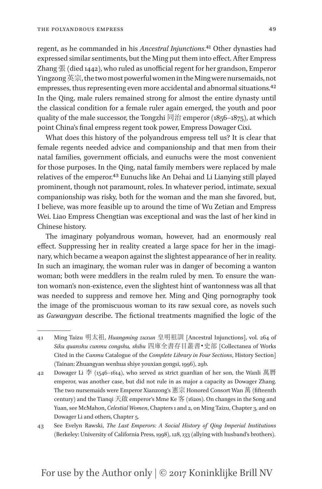regent, as he commanded in his *Ancestral Injunctions*.41 Other dynasties had expressed similar sentiments, but the Ming put them into effect. After Empress Zhang  $\frac{\pi}{\mathbb{R}}$  (died 1442), who ruled as unofficial regent for her grandson, Emperor Yingzong 英宗, the two most powerful women in the Ming were nursemaids, not empresses, thus representing even more accidental and abnormal situations.<sup>42</sup> In the Qing, male rulers remained strong for almost the entire dynasty until the classical condition for a female ruler again emerged, the youth and poor quality of the male successor, the Tongzhi 同治 emperor ( $1856-1875$ ), at which point China's final empress regent took power, Empress Dowager Cixi.

What does this history of the polyandrous empress tell us? It is clear that female regents needed advice and companionship and that men from their natal families, government officials, and eunuchs were the most convenient for those purposes. In the Qing, natal family members were replaced by male relatives of the emperor.<sup>43</sup> Eunuchs like An Dehai and Li Lianying still played prominent, though not paramount, roles. In whatever period, intimate, sexual companionship was risky, both for the woman and the man she favored, but, I believe, was more feasible up to around the time of Wu Zetian and Empress Wei. Liao Empress Chengtian was exceptional and was the last of her kind in Chinese history.

The imaginary polyandrous woman, however, had an enormously real efffect. Suppressing her in reality created a large space for her in the imaginary, which became a weapon against the slightest appearance of her in reality. In such an imaginary, the woman ruler was in danger of becoming a wanton woman; both were meddlers in the realm ruled by men. To ensure the wanton woman's non-existence, even the slightest hint of wantonness was all that was needed to suppress and remove her. Ming and Qing pornography took the image of the promiscuous woman to its raw sexual core, as novels such as *Guwangyan* describe. The fictional treatments magnified the logic of the

- 42 Dowager Li 李 (1546–1614), who served as strict guardian of her son, the Wanli 萬曆 emperor, was another case, but did not rule in as major a capacity as Dowager Zhang. The two nursemaids were Emperor Xianzong's 憲宗 Honored Consort Wan 萬 (fifteenth century) and the Tianqi 天啟 emperor's Mme Ke 客 (1620s). On changes in the Song and Yuan, see McMahon, *Celestial Women*, Chapters 1 and 2, on Ming Taizu, Chapter 3, and on Dowager Li and others, Chapter 5.
- 43 See Evelyn Rawski, *The Last Emperors: A Social History of Qing Imperial Institutions* (Berkeley: University of California Press, 1998), 128, 133 (allying with husband's brothers).

<sup>41</sup> Ming Taizu 明太祖, *Huangming zuxun* 皇明祖訓 [Ancestral Injunctions], vol. 264 of *Siku quanshu cunmu congshu, shibu* 四庫全書存目叢書•史部 [Collectanea of Works Cited in the *Cunmu* Catalogue of the *Complete Library in Four Sections*, History Section] (Tainan: Zhuangyan wenhua shiye youxian gongsi, 1996), 29b.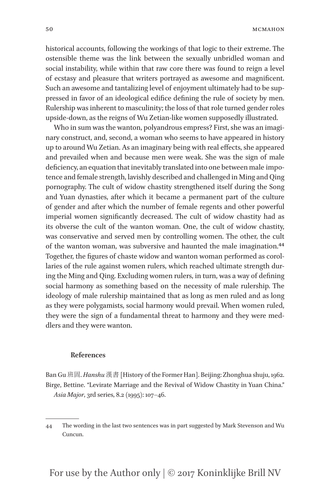historical accounts, following the workings of that logic to their extreme. The ostensible theme was the link between the sexually unbridled woman and social instability, while within that raw core there was found to reign a level of ecstasy and pleasure that writers portrayed as awesome and magnificent. Such an awesome and tantalizing level of enjoyment ultimately had to be suppressed in favor of an ideological edifice defining the rule of society by men. Rulership was inherent to masculinity; the loss of that role turned gender roles upside-down, as the reigns of Wu Zetian-like women supposedly illustrated.

Who in sum was the wanton, polyandrous empress? First, she was an imaginary construct, and, second, a woman who seems to have appeared in history up to around Wu Zetian. As an imaginary being with real efffects, she appeared and prevailed when and because men were weak. She was the sign of male deficiency, an equation that inevitably translated into one between male impotence and female strength, lavishly described and challenged in Ming and Qing pornography. The cult of widow chastity strengthened itself during the Song and Yuan dynasties, after which it became a permanent part of the culture of gender and after which the number of female regents and other powerful imperial women significantly decreased. The cult of widow chastity had as its obverse the cult of the wanton woman. One, the cult of widow chastity, was conservative and served men by controlling women. The other, the cult of the wanton woman, was subversive and haunted the male imagination.44 Together, the figures of chaste widow and wanton woman performed as corollaries of the rule against women rulers, which reached ultimate strength during the Ming and Qing. Excluding women rulers, in turn, was a way of defining social harmony as something based on the necessity of male rulership. The ideology of male rulership maintained that as long as men ruled and as long as they were polygamists, social harmony would prevail. When women ruled, they were the sign of a fundamental threat to harmony and they were meddlers and they were wanton.

#### **References**

Ban Gu 班固. *Hanshu* 漢書 [History of the Former Han]. Beijing: Zhonghua shuju, 1962. Birge, Bettine. "Levirate Marriage and the Revival of Widow Chastity in Yuan China." *Asia Major*, 3rd series, 8.2 (1995): 107–46.

<sup>44</sup> The wording in the last two sentences was in part suggested by Mark Stevenson and Wu Cuncun.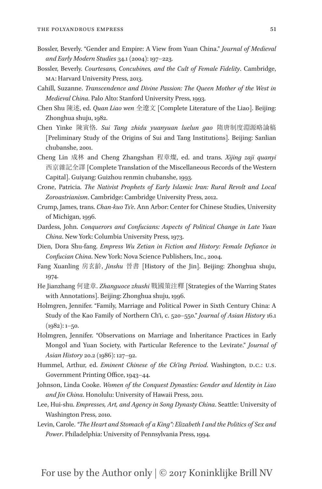- Bossler, Beverly. "Gender and Empire: A View from Yuan China." *Journal of Medieval and Early Modern Studies* 34.1 (2004): 197–223.
- Bossler, Beverly. *Courtesans, Concubines, and the Cult of Female Fidelity*. Cambridge, MA: Harvard University Press, 2013.
- Cahill, Suzanne. *Transcendence and Divine Passion: The Queen Mother of the West in Medieval China*. Palo Alto: Stanford University Press, 1993.
- Chen Shu 陳述, ed. *Quan Liao wen* 全遼文 [Complete Literature of the Liao]. Beijing: Zhonghua shuju, 1982.
- Chen Yinke 陳寅恪. *Sui Tang zhidu yuanyuan luelun gao* 隋唐制度淵源略論稿 [Preliminary Study of the Origins of Sui and Tang Institutions]. Beijing: Sanlian chubanshe, 2001.
- Cheng Lin 成林 and Cheng Zhangshan 程章燦, ed. and trans. *Xijing zaji quanyi* 西京雜記全譯 [Complete Translation of the Miscellaneous Records of the Western Capital]. Guiyang: Guizhou renmin chubanshe, 1993.
- Crone, Patricia. *The Nativist Prophets of Early Islamic Iran: Rural Revolt and Local Zoroastrianism*. Cambridge: Cambridge University Press, 2012.
- Crump, James, trans. *Chan-kuo Ts'e*. Ann Arbor: Center for Chinese Studies, University of Michigan, 1996.
- Dardess, John. *Conquerors and Confucians: Aspects of Political Change in Late Yuan China*. New York: Columbia University Press, 1973.
- Dien, Dora Shu-fang. *Empress Wu Zetian in Fiction and History: Female Defiance in Confucian China*. New York: Nova Science Publishers, Inc., 2004.
- Fang Xuanling 房玄齡, *Jinshu* 晉書 [History of the Jin]. Beijing: Zhonghua shuju, 1974.
- He Jianzhang 何建章. *Zhanguoce zhushi* 戰國策注釋 [Strategies of the Warring States with Annotations]. Beijing: Zhonghua shuju, 1996.
- Holmgren, Jennifer. "Family, Marriage and Political Power in Sixth Century China: A Study of the Kao Family of Northern Ch'i, c. 520–550." *Journal of Asian History* 16.1  $(1982): 1-50.$
- Holmgren, Jennifer. "Observations on Marriage and Inheritance Practices in Early Mongol and Yuan Society, with Particular Reference to the Levirate." *Journal of Asian History* 20.2 (1986): 127–92.
- Hummel, Arthur, ed. *Eminent Chinese of the Ch'ing Period*. Washington, D.C.: U.S. Government Printing Office, 1943–44.
- Johnson, Linda Cooke. *Women of the Conquest Dynasties: Gender and Identity in Liao and Jin China*. Honolulu: University of Hawaii Press, 2011.
- Lee, Hui-shu. *Empresses, Art, and Agency in Song Dynasty China*. Seattle: University of Washington Press, 2010.
- Levin, Carole. *"The Heart and Stomach of a King": Elizabeth I and the Politics of Sex and Power*. Philadelphia: University of Pennsylvania Press, 1994.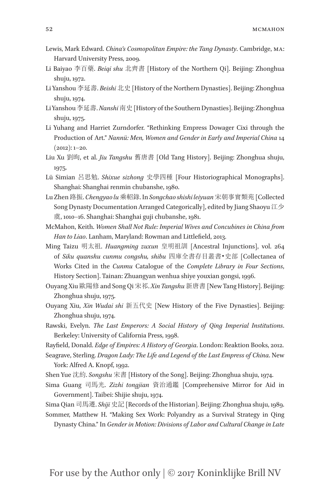- Lewis, Mark Edward. *China's Cosmopolitan Empire: the Tang Dynasty*. Cambridge, MA: Harvard University Press, 2009.
- Li Baiyao 李百藥. *Beiqi shu* 北齊書 [History of the Northern Qi]. Beijing: Zhonghua shuju, 1972.
- Li Yanshou 李延壽. *Beishi* 北史 [History of the Northern Dynasties]. Beijing: Zhonghua shuju, 1974.
- Li Yanshou 李延壽. *Nanshi*南史 [History of the Southern Dynasties]. Beijing: Zhonghua shuju, 1975.
- Li Yuhang and Harriet Zurndorfer. "Rethinking Empress Dowager Cixi through the Production of Art." *Nannü: Men, Women and Gender in Early and Imperial China* 14  $(2012): 1-20.$
- Liu Xu 劉昫, et al. *Jiu Tangshu* 舊唐書 [Old Tang History]. Beijing: Zhonghua shuju, 1975.
- Lü Simian 呂思勉. *Shixue sizhong* 史學四種 [Four Historiographical Monographs]. Shanghai: Shanghai renmin chubanshe, 1980.
- Lu Zhen 路振. *Chengyao lu*乘軺錄. In *Songchao shishi leiyuan*宋朝事實類苑 [Collected Song Dynasty Documentation Arranged Categorically], edited by Jiang Shaoyu 江少 虞, 1010–16. Shanghai: Shanghai guji chubanshe, 1981.
- McMahon, Keith. *Women Shall Not Rule: Imperial Wives and Concubines in China from Han to Liao*. Lanham, Maryland: Rowman and Littlefield, 2013.
- Ming Taizu 明太祖. *Huangming zuxun* 皇明祖訓 [Ancestral Injunctions], vol. 264 of *Siku quanshu cunmu congshu, shibu* 四庫全書存目叢書•史部 [Collectanea of Works Cited in the *Cunmu* Catalogue of the *Complete Library in Four Sections*, History Section]. Tainan: Zhuangyan wenhua shiye youxian gongsi, 1996.
- Ouyang Xiu 歐陽修 and Song Qi 宋祁. *Xin Tangshu* 新唐書 [New Tang History]. Beijing: Zhonghua shuju, 1975.
- Ouyang Xiu, *Xin Wudai shi* 新五代史 [New History of the Five Dynasties]. Beijing: Zhonghua shuju, 1974.
- Rawski, Evelyn. *The Last Emperors: A Social History of Qing Imperial Institutions*. Berkeley: University of California Press, 1998.
- Rayfield, Donald. *Edge of Empires: A History of Georgia*. London: Reaktion Books, 2012.
- Seagrave, Sterling. *Dragon Lady: The Life and Legend of the Last Empress of China*. New York: Alfred A. Knopf, 1992.
- Shen Yue 沈約. *Songshu* 宋書 [History of the Song]. Beijing: Zhonghua shuju, 1974.
- Sima Guang 司馬光. *Zizhi tongjian* 資治通鑑 [Comprehensive Mirror for Aid in Government]. Taibei: Shijie shuju, 1974.
- Sima Qian 司馬遷. *Shiji* 史記 [Records of the Historian]. Beijing: Zhonghua shuju, 1989. Sommer, Matthew H. "Making Sex Work: Polyandry as a Survival Strategy in Qing

Dynasty China." In *Gender in Motion: Divisions of Labor and Cultural Change in Late*